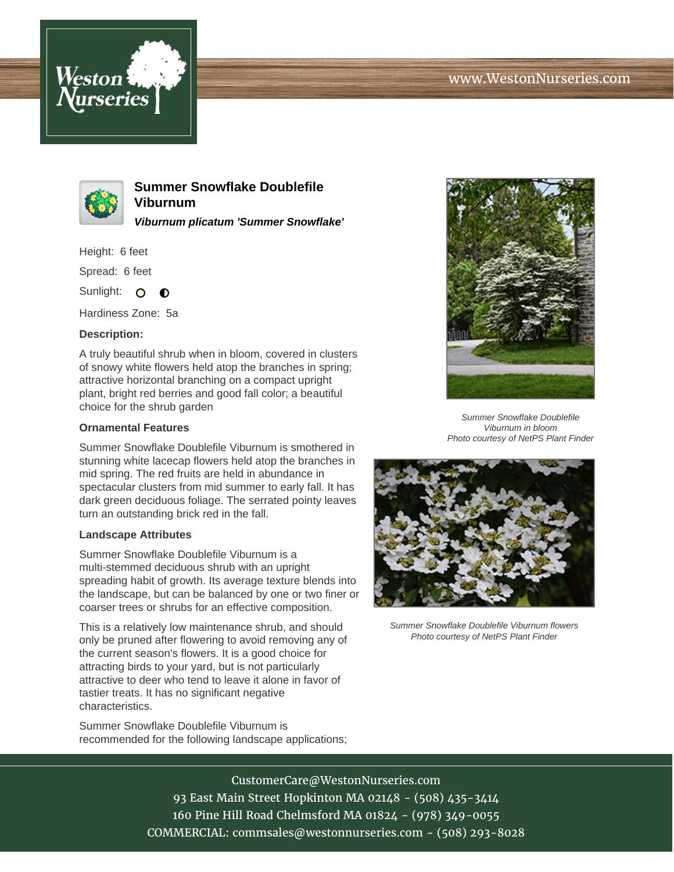



**Summer Snowflake Doublefile Viburnum Viburnum plicatum 'Summer Snowflake'**

Height: 6 feet

Spread: 6 feet

Sunlight: O  $\bullet$ 

Hardiness Zone: 5a

## **Description:**

A truly beautiful shrub when in bloom, covered in clusters of snowy white flowers held atop the branches in spring; attractive horizontal branching on a compact upright plant, bright red berries and good fall color; a beautiful choice for the shrub garden

## **Ornamental Features**

Summer Snowflake Doublefile Viburnum is smothered in stunning white lacecap flowers held atop the branches in mid spring. The red fruits are held in abundance in spectacular clusters from mid summer to early fall. It has dark green deciduous foliage. The serrated pointy leaves turn an outstanding brick red in the fall.

## **Landscape Attributes**

Summer Snowflake Doublefile Viburnum is a multi-stemmed deciduous shrub with an upright spreading habit of growth. Its average texture blends into the landscape, but can be balanced by one or two finer or coarser trees or shrubs for an effective composition.

This is a relatively low maintenance shrub, and should only be pruned after flowering to avoid removing any of the current season's flowers. It is a good choice for attracting birds to your yard, but is not particularly attractive to deer who tend to leave it alone in favor of tastier treats. It has no significant negative characteristics.

Summer Snowflake Doublefile Viburnum is recommended for the following landscape applications;



Summer Snowflake Doublefile Viburnum in bloom Photo courtesy of NetPS Plant Finder



Summer Snowflake Doublefile Viburnum flowers Photo courtesy of NetPS Plant Finder

CustomerCare@WestonNurseries.com 93 East Main Street Hopkinton MA 02148 - (508) 435-3414 160 Pine Hill Road Chelmsford MA 01824 - (978) 349-0055 COMMERCIAL: commsales@westonnurseries.com - (508) 293-8028